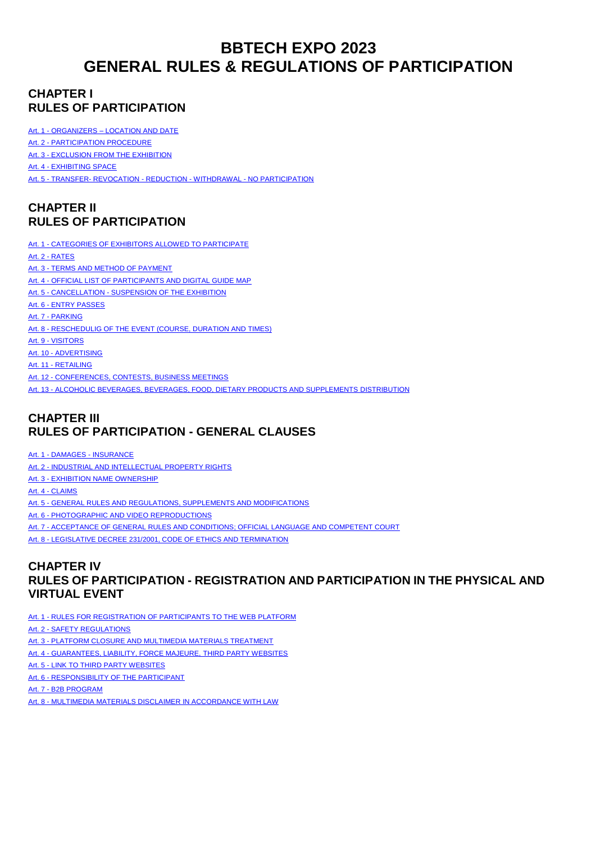# **BBTECH EXPO 2023 GENERAL RULES & REGULATIONS OF PARTICIPATION**

# **CHAPTER I RULES OF PARTICIPATION**

Art. 1 - ORGANIZERS – [LOCATION AND DATE](#page-1-0)

Art. 2 - [PARTICIPATION](#page-1-1) PROCEDURE

Art. 3 - [EXCLUSION FROM THE EXHIBITION](#page-1-2)

Art. 4 - [EXHIBITING SPACE](#page-1-3)

Art. 5 - TRANSFER- [REVOCATION -](#page-2-0) REDUCTION - WITHDRAWAL - NO PARTICIPATION

# **CHAPTER II RULES OF PARTICIPATION**

Art. 1 - [CATEGORIES OF EXHIBITORS ALLOWED TO PARTICIPATE](#page-3-0) Art. 2 - [RATES](#page-3-1) Art. 3 - [TERMS AND METHOD OF PAYMENT](#page-3-2) Art. 4 - OFFICIAL LIST OF PARTICIPANTS AND DIGITAL GUIDE MAP Art. 5 - CANCELLATION - [SUSPENSION OF THE EXHIBITION](#page-3-3) Art. 6 - [ENTRY PASSES](#page-4-0) Art. 7 - [PARKING](#page-4-1) Art. 8 - RESCHEDULIG OF THE EVENT (COURSE, DURATION AND TIMES) Art. 9 - VISITORS Art. 10 - ADVERTISING Art. 11 - RETAILING Art. 12 - [CONFERENCES, CONTESTS, BUSINESS MEETINGS](#page-4-2) Art. 13 - ALCOHOLIC BEVERAGES, BEVERAGES, FOOD, DIETARY PRODUCTS AND SUPPLEMENTS DISTRIBUTION

# **CHAPTER III RULES OF PARTICIPATION - GENERAL CLAUSES**

Art. 1 - DAMAGES - [INSURANCE](#page-5-0)

Art. 2 - [INDUSTRIAL AND INTELLECTUAL PROPERTY RIGHTS](#page-5-1)

Art. 3 - EXHIBITION NAME [OWNERSHIP](#page-5-2)

Art. 4 - [CLAIMS](#page-5-3)

Art. 5 - [GENERAL RULES AND REGULATIONS, SUPPLEMENTS AND MODIFICATIONS](#page-5-4)

Art. 6 - PHOTOGRAPHIC AND VIDEO REPRODUCTIONS

Art. 7 - [ACCEPTANCE OF GENERAL RULES AND CONDITIONS; OFFICIAL LANGUAGE AND COMPETENT COURT](#page-5-6)

Art. 8 - LEGISLATIVE DECREE 231/2001, CODE OF ETHICS AND TERMINATION

# **CHAPTER IV RULES OF PARTICIPATION - REGISTRATION AND PARTICIPATION IN THE PHYSICAL AND VIRTUAL EVENT**

Art. 1 - [RULES FOR REGISTRATION OF PARTICIPANTS TO THE WEB PLATFORM](#page-5-0)

Art. 2 - [SAFETY REGULATIONS](#page-5-1)

Art. 3 - [PLATFORM CLOSURE AND MULTIMEDIA MATERIALS TREATMENT](#page-5-2)

Art. 4 - [GUARANTEES, LIABILITY, FORCE MAJEURE, THIRD PARTY WEBSITES](#page-5-3)

Art. 5 - [LINK TO THIRD PARTY WEBSITES](#page-5-4)

Art. 6 - [RESPONSIBILITY OF THE PARTICIPANT](#page-5-5) 

Art. 7 - [B2B PROGRAM](#page-5-6)

Art. 8 - [MULTIMEDIA MATERIALS DISCLAIMER IN ACCORDANCE WITH LAW](#page-5-6)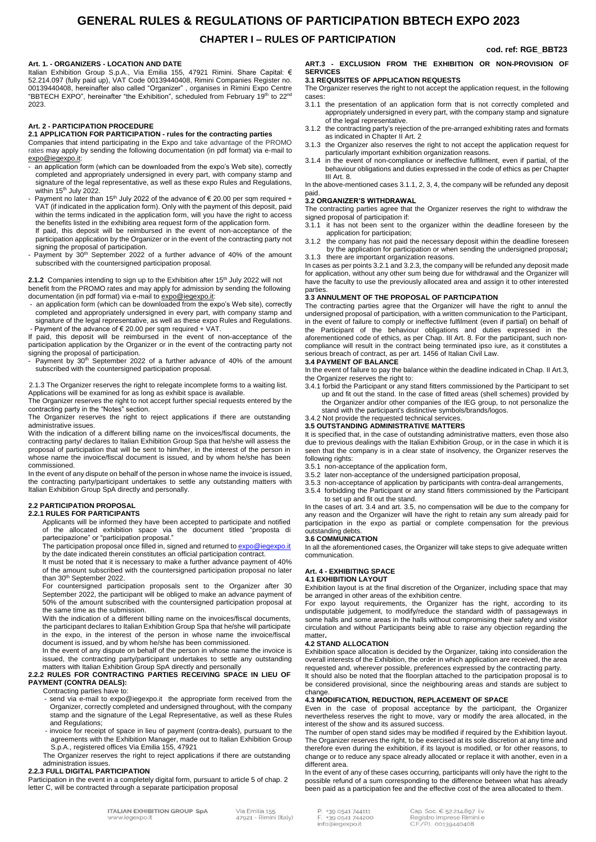# **GENERAL RULES & REGULATIONS OF PARTICIPATION BBTECH EXPO 2023**

### **CHAPTER I – RULES OF PARTICIPATION**

### **cod. ref: RGE\_BBT23**

### <span id="page-1-0"></span>**Art. 1. - ORGANIZERS - LOCATION AND DATE**

Italian Exhibition Group S.p.A., Via Emilia 155, 47921 Rimini. Share Capital: € 52.214.097 (fully paid up), VAT Code 00139440408, Rimini Companies Register no. 00139440408, hereinafter also called "Organizer" , organises in Rimini Expo Centre<br>"BBTECH EXPO", hereinafter "the Exhibition", scheduled from February 19<sup>th</sup> to 22<sup>nd</sup> 2023.

### <span id="page-1-1"></span>**Art. 2 - PARTICIPATION PROCEDURE**

### **2.1 APPLICATION FOR PARTICIPATION - rules for the contracting parties**

Companies that intend participating in the Expo and take advantage of the PROMO rates may apply by sending the following documentation (in pdf format) via e-mail to [expo@iegexpo.it:](mailto:expo@iegexpo.it) 

- an application form (which can be downloaded from the expo's Web site), correctly completed and appropriately undersigned in every part, with company stamp and signature of the legal representative, as well as these expo Rules and Regulations, within 15<sup>th</sup> July 2022.

Payment no later than 15<sup>th</sup> July 2022 of the advance of  $\epsilon$  20.00 per sqm required + VAT (if indicated in the application form). Only with the payment of this deposit, paid within the terms indicated in the application form, will you have the right to access the benefits listed in the exhibiting area request form of the application form.

If paid, this deposit will be reimbursed in the event of non-acceptance of the participation application by the Organizer or in the event of the contracting party not signing the proposal of participation.

Payment by 30<sup>th</sup> September 2022 of a further advance of 40% of the amount subscribed with the countersigned participation proposal.

2.1.2 Companies intending to sign up to the Exhibition after 15<sup>th</sup> July 2022 will not benefit from the PROMO rates and may apply for admission by sending the following documentation (in pdf format) via e-mail t[o expo@iegexpo.it:](mailto:expo@iegexpo.it)

an application form (which can be downloaded from the expo's Web site), correctly completed and appropriately undersigned in every part, with company stamp and signature of the legal representative, as well as these expo Rules and Regulations. Payment of the advance of  $\epsilon$  20.00 per sqm required + VAT.

If paid, this deposit will be reimbursed in the event of non-acceptance of the participation application by the Organizer or in the event of the contracting party not signing the proposal of participation.

Payment by 30<sup>th</sup> September 2022 of a further advance of 40% of the amount subscribed with the countersigned participation proposal.

2.1.3 The Organizer reserves the right to relegate incomplete forms to a waiting list. Applications will be examined for as long as exhibit space is available.

The Organizer reserves the right to not accept further special requests entered by the contracting party in the "Notes" section.

The Organizer reserves the right to reject applications if there are outstanding administrative issues.

With the indication of a different billing name on the invoices/fiscal documents, the contracting party/ declares to Italian Exhibition Group Spa that he/she will assess the proposal of participation that will be sent to him/her, in the interest of the person in whose name the invoice/fiscal document is issued, and by whom he/she has been commissioned.

In the event of any dispute on behalf of the person in whose name the invoice is issued, the contracting party/participant undertakes to settle any outstanding matters with Italian Exhibition Group SpA directly and personally.

#### **2.2 PARTICIPATION PROPOSAL 2.2.1 RULES FOR PARTICIPANTS**

Applicants will be informed they have been accepted to participate and notified of the allocated exhibition space via the document titled "proposta di partecipazione" or "participation proposal."

The participation proposal once filled in, signed and returned to **expo@iegexpo.it** by the date indicated therein constitutes an official participation contract.

It must be noted that it is necessary to make a further advance payment of 40% of the amount subscribed with the countersigned participation proposal no later than 30<sup>th</sup> September 2022.

For countersigned participation proposals sent to the Organizer after 30 September 2022, the participant will be obliged to make an advance payment of 50% of the amount subscribed with the countersigned participation proposal at the same time as the submission.

With the indication of a different billing name on the invoices/fiscal documents, the participant declares to Italian Exhibition Group Spa that he/she will participate in the expo, in the interest of the person in whose name the invoice/fiscal document is issued, and by whom he/she has been commissioned.

In the event of any dispute on behalf of the person in whose name the invoice is issued, the contracting party/participant undertakes to settle any outstanding

### matters with Italian Exhibition Group SpA directly and personally **2.2.2 RULES FOR CONTRACTING PARTIES RECEIVING SPACE IN LIEU OF PAYMENT (CONTRA DEALS):**

### Contracting parties have to:

send via e-mail to [expo@iegexpo.it](mailto:expo@riminifiera.it) the appropriate form received from the Organizer, correctly completed and undersigned throughout, with the company stamp and the signature of the Legal Representative, as well as these Rules and Regulations;

invoice for receipt of space in lieu of payment (contra-deals), pursuant to the agreements with the Exhibition Manager, made out to Italian Exhibition Group S.p.A., registered offices Via Emilia 155, 47921

The Organizer reserves the right to reject applications if there are outstanding administration issues.

### **2.2.3 FULL DIGITAL PARTICIPATION**

Participation in the event in a completely digital form, pursuant to article 5 of chap. 2 letter C, will be contracted through a separate participation proposal

### <span id="page-1-2"></span>**ART.3 - EXCLUSION FROM THE EXHIBITION OR NON-PROVISION OF SERVICES**

### **3.1 REQUISITES OF APPLICATION REQUESTS**

The Organizer reserves the right to not accept the application request, in the following cases:

- 3.1.1 the presentation of an application form that is not correctly completed and appropriately undersigned in every part, with the company stamp and signature of the legal representative.
- 3.1.2 the contracting party's rejection of the pre-arranged exhibiting rates and formats as indicated in Chapter II Art. 2

3.1.3 the Organizer also reserves the right to not accept the application request for particularly important exhibition organization reasons.

3.1.4 in the event of non-compliance or ineffective fulfilment, even if partial, of the behaviour obligations and duties expressed in the code of ethics as per Chapter III Art. 8.

In the above-mentioned cases 3.1.1, 2, 3, 4, the company will be refunded any deposit paid.

### **3.2 ORGANIZER'S WITHDRAWAL**

The contracting parties agree that the Organizer reserves the right to withdraw the signed proposal of participation if:<br>3.1.1 it has not been sent to the

- it has not been sent to the organizer within the deadline foreseen by the application for participation;
- 3.1.2 the company has not paid the necessary deposit within the deadline foreseen by the application for participation or when sending the undersigned proposal**;** 3.1.3 there are important organization reasons.

In cases as per points 3.2.1 and 3.2.3, the company will be refunded any deposit made for application, without any other sum being due for withdrawal and the Organizer will have the faculty to use the previously allocated area and assign it to other interested parties.

### **3**.**3 ANNULMENT OF THE PROPOSAL OF PARTICIPATION**

The contracting parties agree that the Organizer will have the right to annul the undersigned proposal of participation, with a written communication to the Participant, in the event of failure to comply or ineffective fulfilment (even if partial) on behalf of the Participant of the behaviour obligations and duties expressed in the aforementioned code of ethics, as per Chap. III Art. 8. For the participant, such noncompliance will result in the contract being terminated ipso iure, as it constitutes a serious breach of contract, as per art. 1456 of Italian Civil Law.

### **3.4 PAYMENT OF BALANCE**

In the event of failure to pay the balance within the deadline indicated in Chap. II Art.3, the Organizer reserves the right to:

- 3.4.1 forbid the Participant or any stand fitters commissioned by the Participant to set up and fit out the stand. In the case of fitted areas (shell schemes) provided by the Organizer and/or other companies of the IEG group, to not personalize the stand with the participant's distinctive symbols/brands/logos.
- 3.4.2 Not provide the requested technical services.

### **3.5 OUTSTANDING ADMINISTRATIVE MATTERS**

It is specified that, in the case of outstanding administrative matters, even those also due to previous dealings with the Italian Exhibition Group, or in the case in which it is seen that the company is in a clear state of insolvency, the Organizer reserves the following rights:

- 3.5.1 non-acceptance of the application form,
- 3.5.2 later non-acceptance of the undersigned participation proposal,
- 3.5.3 non-acceptance of application by participants with contra-deal arrangements,

3.5.4 forbidding the Participant or any stand fitters commissioned by the Participant to set up and fit out the stand.

In the cases of art. 3.4 and art. 3.5, no compensation will be due to the company for any reason and the Organizer will have the right to retain any sum already paid for participation in the expo as partial or complete compensation for the previous outstanding debts.

### **3.6 COMMUNICATION**

In all the aforementioned cases, the Organizer will take steps to give adequate written communication.

### <span id="page-1-3"></span>**Art. 4 - EXHIBITING SPACE 4.1 EXHIBITION LAYOUT**

Exhibition layout is at the final discretion of the Organizer, including space that may be arranged in other areas of the exhibition centre.

For expo layout requirements, the Organizer has the right, according to its undisputable judgement, to modify/reduce the standard width of passageways in some halls and some areas in the halls without compromising their safety and visitor circulation and without Participants being able to raise any objection regarding the matter**.**

### **4.2 STAND ALLOCATION**

Exhibition space allocation is decided by the Organizer, taking into consideration the overall interests of the Exhibition, the order in which application are received, the area requested and, wherever possible, preferences expressed by the contracting party.

It should also be noted that the floorplan attached to the participation proposal is to be considered provisional, since the neighbouring areas and stands are subject to change

### **4.3 MODIFICATION, REDUCTION, REPLACEMENT OF SPACE**

Even in the case of proposal acceptance by the participant, the Organizer nevertheless reserves the right to move, vary or modify the area allocated, in the interest of the show and its assured success.

The number of open stand sides may be modified if required by the Exhibition layout. The Organizer reserves the right, to be exercised at its sole discretion at any time and therefore even during the exhibition, if its layout is modified, or for other reasons, to change or to reduce any space already allocated or replace it with another, even in a different area.

In the event of any of these cases occurring, participants will only have the right to the possible refund of a sum corresponding to the difference between what has already been paid as a participation fee and the effective cost of the area allocated to them.

+39 0541 744111 +39 0541 744200 info@iegexpo.it

Cap. Soc. € 52.214.897 i.v. Registro Imprese Rimini e C.F./P.I. 00139440408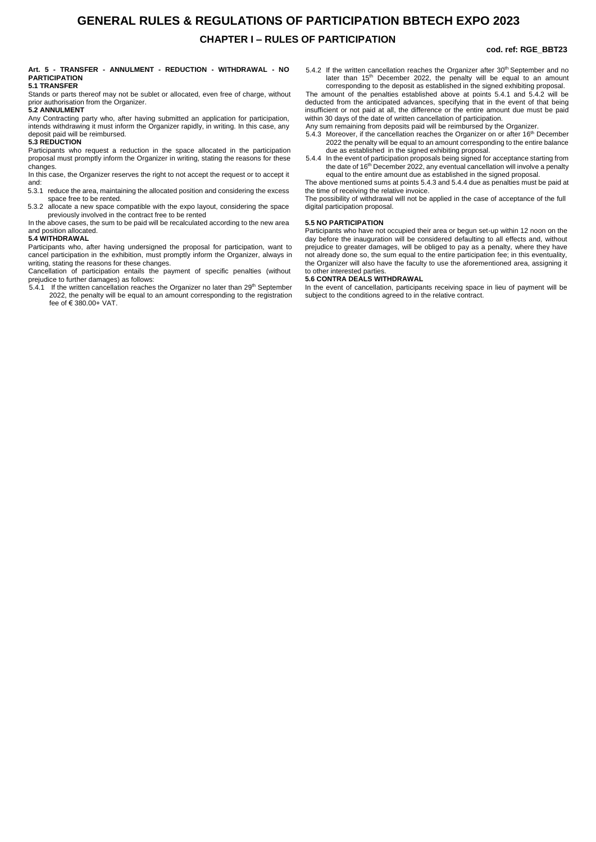# **GENERAL RULES & REGULATIONS OF PARTICIPATION BBTECH EXPO 2023 CHAPTER I – RULES OF PARTICIPATION**

### **cod. ref: RGE\_BBT23**

### <span id="page-2-0"></span>**Art. 5 - TRANSFER - ANNULMENT - REDUCTION - WITHDRAWAL - NO PARTICIPATION**

### **5.1 TRANSFER**

Stands or parts thereof may not be sublet or allocated, even free of charge, without prior authorisation from the Organizer. **5.2 ANNULMENT**

Any Contracting party who, after having submitted an application for participation, intends withdrawing it must inform the Organizer rapidly, in writing. In this case, any deposit paid will be reimbursed.

### **5.3 REDUCTION**

Participants who request a reduction in the space allocated in the participation proposal must promptly inform the Organizer in writing, stating the reasons for these changes.

In this case, the Organizer reserves the right to not accept the request or to accept it and:<br>5.3.1

reduce the area, maintaining the allocated position and considering the excess space free to be rented.

5.3.2 allocate a new space compatible with the expo layout, considering the space previously involved in the contract free to be rented

In the above cases, the sum to be paid will be recalculated according to the new area and position allocated.

### **5.4 WITHDRAWAL**

Participants who, after having undersigned the proposal for participation, want to cancel participation in the exhibition, must promptly inform the Organizer, always in writing, stating the reasons for these changes.

Cancellation of participation entails the payment of specific penalties (without prejudice to further damages) as follows:

 $5.4.1$  If the written cancellation reaches the Organizer no later than 29<sup>th</sup> September 2022, the penalty will be equal to an amount corresponding to the registration fee of € 380.00+ VAT.

- 5.4.2 If the written cancellation reaches the Organizer after 30<sup>th</sup> September and no later than 15<sup>th</sup> December 2022, the penalty will be equal to an amount corresponding to the deposit as established in the signed exhibiting proposal.
- The amount of the penalties established above at points 5.4.1 and 5.4.2 will be deducted from the anticipated advances, specifying that in the event of that being insufficient or not paid at all, the difference or the entire amount due must be paid within 30 days of the date of written cancellation of participation.
- Any sum remaining from deposits paid will be reimbursed by the Organizer.
- 5.4.3 Moreover, if the cancellation reaches the Organizer on or after 16<sup>th</sup> December 2022 the penalty will be equal to an amount corresponding to the entire balance due as established in the signed exhibiting proposal.
- 5.4.4 In the event of participation proposals being signed for acceptance starting from the date of 16<sup>th</sup> December 2022, any eventual cancellation will involve a penalty equal to the entire amount due as established in the signed proposal.

The above mentioned sums at points 5.4.3 and 5.4.4 due as penalties must be paid at the time of receiving the relative invoice.

The possibility of withdrawal will not be applied in the case of acceptance of the full digital participation proposal.

### **5.5 NO PARTICIPATION**

Participants who have not occupied their area or begun set-up within 12 noon on the day before the inauguration will be considered defaulting to all effects and, without prejudice to greater damages, will be obliged to pay as a penalty, where they have not already done so, the sum equal to the entire participation fee; in this eventuality, the Organizer will also have the faculty to use the aforementioned area, assigning it to other interested parties.

### **5.6 CONTRA DEALS WITHDRAWAL**

In the event of cancellation, participants receiving space in lieu of payment will be subject to the conditions agreed to in the relative contract.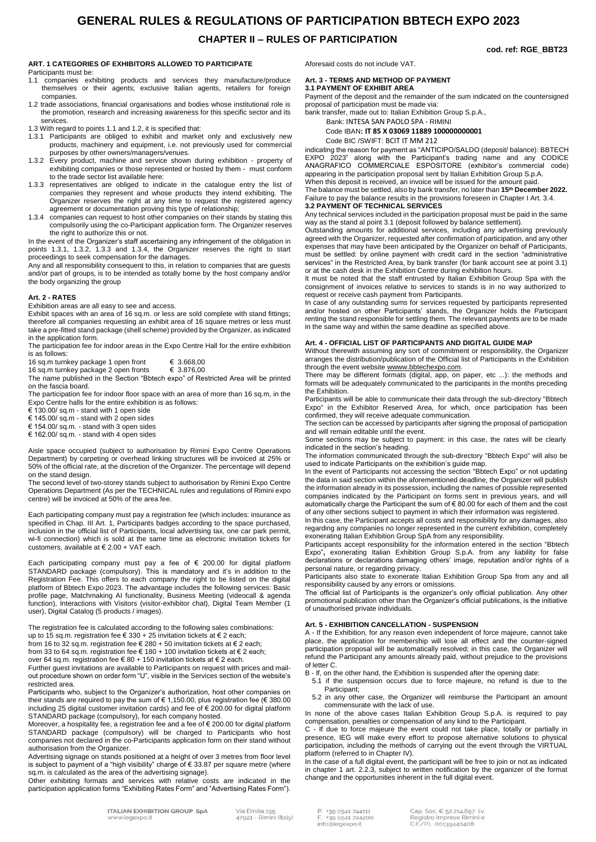# **GENERAL RULES & REGULATIONS OF PARTICIPATION BBTECH EXPO 2023**

## **CHAPTER II – RULES OF PARTICIPATION**

### <span id="page-3-0"></span>**ART. 1 CATEGORIES OF EXHIBITORS ALLOWED TO PARTICIPATE**

Participants must be:

- 1.1 companies exhibiting products and services they manufacture/produce themselves or their agents; exclusive Italian agents, retailers for foreign companies.
- 1.2 trade associations, financial organisations and bodies whose institutional role is the promotion, research and increasing awareness for this specific sector and its services.
- 1.3 With regard to points 1.1 and 1.2, it is specified that:
- 1.3.1 Participants are obliged to exhibit and market only and exclusively new products, machinery and equipment, i.e. not previously used for commercial purposes by other owners/managers/venues.
- 1.3.2 Every product, machine and service shown during exhibition property of exhibiting companies or those represented or hosted by them - must conform to the trade sector list available here:
- 1.3.3 representatives are obliged to indicate in the catalogue entry the list of companies they represent and whose products they intend exhibiting. The Organizer reserves the right at any time to request the registered agency agreement or documentation proving this type of relationship;
- 1.3.4 companies can request to host other companies on their stands by stating this compulsorily using the co-Participant application form. The Organizer reserves the right to authorize this or not.

In the event of the Organizer's staff ascertaining any infringement of the obligation in points 1.3.1, 1.3.2, 1.3.3 and 1.3.4, the Organizer reserves the right to start proceedings to seek compensation for the damages.

Any and all responsibility consequent to this, in relation to companies that are guests and/or part of groups, is to be intended as totally borne by the host company and/or the body organizing the group

### <span id="page-3-1"></span>**Art. 2 - RATES**

Exhibition areas are all easy to see and access.

Exhibit spaces with an area of 16 sq.m. or less are sold complete with stand fittings; therefore all companies requesting an exhibit area of 16 square metres or less must take a pre-fitted stand package (shell scheme) provided by the Organizer, as indicated in the application form.

The participation fee for indoor areas in the Expo Centre Hall for the entire exhibition is as follows:

16 sq.m turnkey package 1 open front  $€ 3.668,00$ <br>16 sq.m turnkey package 2 open fronts  $€ 3.876,00$ 

16 sq.m turnkey package 2 open fronts

The name published in the Section "Bbtech expo" of Restricted Area will be printed on the fascia board.

The participation fee for indoor floor space with an area of more than 16 sq.m, in the Expo Centre halls for the entire exhibition is as follows:

€ 130.00/ sq.m - stand with 1 open side

€ 145.00/ sq.m - stand with 2 open sides

€ 154.00/ sq.m. - stand with 3 open sides € 162.00/ sq.m. - stand with 4 open sides

Aisle space occupied (subject to authorisation by Rimini Expo Centre Operations Department) by carpeting or overhead linking structures will be invoiced at 25% or 50% of the official rate, at the discretion of the Organizer. The percentage will depend on the stand design.

The second level of two-storey stands subject to authorisation by Rimini Expo Centre Operations Department (As per the TECHNICAL rules and regulations of Rimini expo centre) will be invoiced at 50% of the area fee.

Each participating company must pay a registration fee (which includes: insurance as specified in Chap. III Art. 1, Participants badges according to the space purchased, inclusion in the official list of Participants, local advertising tax, one car park permit, wi-fi connection) which is sold at the same time as electronic invitation tickets for customers, available at € 2.00 + VAT each.

Each participating company must pay a fee of € 200.00 for digital platform STANDARD package (compulsory). This is mandatory and it's in addition to the Registration Fee. This offers to each company the right to be listed on the digital platform of Bbtech Expo 2023. The advantage includes the following services: Basic profile page, Matchmaking AI functionality, Business Meeting (videocall & agenda function), Interactions with Visitors (visitor-exhibitor chat), Digital Team Member (1 user), Digital Catalog (5 products / images).

The registration fee is calculated according to the following sales combinations: up to 15 sq.m. registration fee € 330 + 25 invitation tickets at € 2 each;

from 16 to 32 sq.m. registration fee € 280 + 50 invitation tickets at € 2 each;

from 33 to 64 sq.m. registration fee  $\epsilon$  180 + 100 invitation tickets at  $\epsilon$  2 each;

over 64 sq.m. registration fee € 80 + 150 invitation tickets at € 2 each. Further guest invitations are available to Participants on request with prices and mailout procedure shown on order form "U", visible in the Services section of the website's restricted area.

Participants who, subject to the Organizer's authorization, host other companies on their stands are required to pay the sum of € 1,150.00, plus registration fee (€ 380.00 including 25 digital customer invitation cards) and fee of € 200.00 for digital platform STANDARD package (compulsory), for each company hosted.

Moreover, a hospitality fee, a registration fee and a fee of € 200.00 for digital platform STANDARD package (compulsory) will be charged to Participants who host companies not declared in the co-Participants application form on their stand without authorisation from the Organizer.

Advertising signage on stands positioned at a height of over 3 metres from floor level is subject to payment of a "high visibility" charge of € 33.87 per square metre (where sq.m. is calculated as the area of the advertising signage).

Other exhibiting formats and services with relative costs are indicated in the participation application forms "Exhibiting Rates Form" and "Advertising Rates Form").

Aforesaid costs do not include VAT.

#### <span id="page-3-2"></span>**Art. 3 - TERMS AND METHOD OF PAYMENT 3.1 PAYMENT OF EXHIBIT AREA**

Payment of the deposit and the remainder of the sum indicated on the countersigned proposal of participation must be made via:

bank transfer, made out to: Italian Exhibition Group S.p.A.,

Bank: INTESA SAN PAOLO SPA - RIMINI

Code IBAN**: IT 85 X 03069 11889 100000000001**

Code BIC /SWIFT: BCIT IT MM 212

indicating the reason for payment as "ANTICIPO/SALDO (deposit/ balance): BBTECH EXPO 2023" along with the Participant's trading name and any CODICE ANAGRAFICO COMMERCIALE ESPOSITORE (exhibitor's commercial code) appearing in the participation proposal sent by Italian Exhibition Group S.p.A. When this deposit is received, an invoice will be issued for the amount paid.

The balance must be settled, also by bank transfer, no later than **15 th December 2022.** FaiIure to pay the balance results in the provisions foreseen in Chapter I Art. 3.4. **3.2 PAYMENT OF TECHNICAL SERVICES** 

Any technical services included in the participation proposal must be paid in the same way as the stand al point 3.1 (deposit followed by balance settlement).

Outstanding amounts for additional services, including any advertising previously agreed with the Organizer, requested after confirmation of participation, and any other expenses that may have been anticipated by the Organizer on behalf of Participants, must be settled: by online payment with credit card in the section "administrative services" in the Restricted Area, by bank transfer (for bank account see at point 3.1) or at the cash desk in the Exhibition Centre during exhibition hours.

It must be noted that the staff entrusted by Italian Exhibition Group Spa with the consignment of invoices relative to services to stands is in no way authorized to request or receive cash payment from Participants.

In case of any outstanding sums for services requested by participants represented and/or hosted on other Participants' stands, the Organizer holds the Participant renting the stand responsible for settling them. The relevant payments are to be made in the same way and within the same deadline as specified above.

### **Art. 4 - OFFICIAL LIST OF PARTICIPANTS AND DIGITAL GUIDE MAP**

<span id="page-3-3"></span>Without therewith assuming any sort of commitment or responsibility, the Organizer arranges the distribution/publication of the Official list of Participants in the Exhibition through the event website [wwww.bbtechexpo.com.](http://www.beerandfoodattraction.it/)

There may be different formats (digital, app, on paper, etc ...): the methods and formats will be adequately communicated to the participants in the months preceding the Exhibition.

Participants will be able to communicate their data through the sub-directory "Bbtech Expo" in the Exhibitor Reserved Area, for which, once participation has been confirmed, they will receive adequate communication.

The section can be accessed by participants after signing the proposal of participation and will remain editable until the event.

Some sections may be subject to payment: in this case, the rates will be clearly indicated in the section's heading.

The information communicated through the sub-directory "Bbtech Expo" will also be used to indicate Participants on the exhibition's guide map.

In the event of Participants not accessing the section "Bbtech Expo" or not updating the data in said section within the aforementioned deadline, the Organizer will publish the information already in its possession, including the names of possible represented companies indicated by the Participant on forms sent in previous years, and will automatically charge the Participant the sum of € 80.00 for each of them and the cost of any other sections subject to payment in which their information was registered.

In this case, the Participant accepts all costs and responsibility for any damages, also regarding any companies no longer represented in the current exhibition, completely exonerating Italian Exhibition Group SpA from any responsibility.

Participants accept responsibility for the information entered in the section "Bbtech Expo"**,** exonerating Italian Exhibition Group S.p.A. from any liability for false declarations or declarations damaging others' image, reputation and/or rights of a personal nature, or regarding privacy.

Participants also state to exonerate Italian Exhibition Group Spa from any and all responsibility caused by any errors or omissions.

The official list of Participants is the organizer's only official publication. Any other promotional publication other than the Organizer's official publications, is the initiative of unauthorised private individuals.

### **Art. 5 - EXHIBITION CANCELLATION - SUSPENSION**

+39 0541 744111

info@iegexpo.it

+39 0541 744200

A - If the Exhibition, for any reason even independent of force majeure, cannot take place, the application for membership will lose all effect and the counter-signed participation proposal will be automatically resolved; in this case, the Organizer will refund the Participant any amounts already paid, without prejudice to the provisions of letter C.

B - If, on the other hand, the Exhibition is suspended after the opening date:

- 5.1 if the suspension occurs due to force majeure, no refund is due to the Participant;
- 5.2 in any other case, the Organizer will reimburse the Participant an amount commensurate with the lack of use.

In none of the above cases Italian Exhibition Group S.p.A. is required to pay compensation, penalties or compensation of any kind to the Participant.

C - If due to force majeure the event could not take place, totally or partially in presence, IEG will make every effort to propose alternative solutions to physical participation, including the methods of carrying out the event through the VIRTUAL platform (referred to in Chapter IV).

In the case of a full digital event, the participant will be free to join or not as indicated in chapter 1 art. 2.2.3, subject to written notification by the organizer of the format change and the opportunities inherent in the full digital event.

> Cap. Soc. € 52.214.897 i.v. Registro Imprese Rimini e C.F./P.I. 00139440408

**cod. ref: RGE\_BBT23**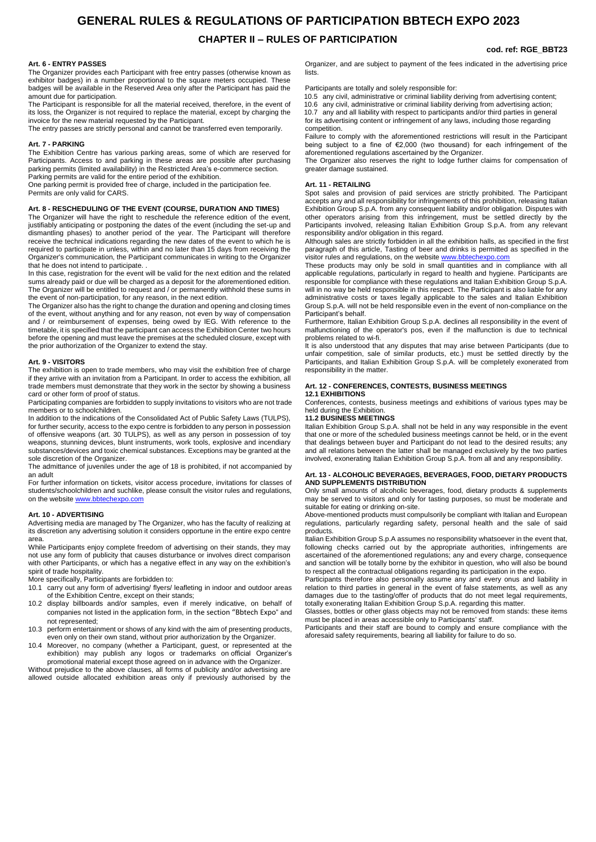# **GENERAL RULES & REGULATIONS OF PARTICIPATION BBTECH EXPO 2023**

# **CHAPTER II – RULES OF PARTICIPATION**

### **cod. ref: RGE\_BBT23**

### <span id="page-4-0"></span>**Art. 6 - ENTRY PASSES**

The Organizer provides each Participant with free entry passes (otherwise known as exhibitor badges) in a number proportional to the square meters occupied. These badges will be available in the Reserved Area only after the Participant has paid the amount due for participation.

The Participant is responsible for all the material received, therefore, in the event of its loss, the Organizer is not required to replace the material, except by charging the invoice for the new material requested by the Participant.

The entry passes are strictly personal and cannot be transferred even temporarily.

### <span id="page-4-1"></span>**Art. 7 - PARKING**

The Exhibition Centre has various parking areas, some of which are reserved for Participants. Access to and parking in these areas are possible after purchasing parking permits (limited availability) in the Restricted Area's e-commerce section. Parking permits are valid for the entire period of the exhibition.

One parking permit is provided free of charge, included in the participation fee. Permits are only valid for CARS.

### **Art. 8 - RESCHEDULING OF THE EVENT (COURSE, DURATION AND TIMES)**

The Organizer will have the right to reschedule the reference edition of the event, justifiably anticipating or postponing the dates of the event (including the set-up and dismantling phases) to another period of the year. The Participant will therefore receive the technical indications regarding the new dates of the event to which he is required to participate in unless, within and no later than 15 days from receiving the Organizer's communication, the Participant communicates in writing to the Organizer that he does not intend to participate. .

In this case, registration for the event will be valid for the next edition and the related sums already paid or due will be charged as a deposit for the aforementioned edition. The Organizer will be entitled to request and / or permanently withhold these sums in the event of non-participation, for any reason, in the next edition.

The Organizer also has the right to change the duration and opening and closing times of the event, without anything and for any reason, not even by way of compensation and / or reimbursement of expenses, being owed by IEG. With reference to the timetable, it is specified that the participant can access the Exhibition Center two hours before the opening and must leave the premises at the scheduled closure, except with the prior authorization of the Organizer to extend the stay.

### **Art. 9 - VISITORS**

The exhibition is open to trade members, who may visit the exhibition free of charge if they arrive with an invitation from a Participant. In order to access the exhibition, all trade members must demonstrate that they work in the sector by showing a business card or other form of proof of status.

Participating companies are forbidden to supply invitations to visitors who are not trade members or to schoolchildren.

In addition to the indications of the Consolidated Act of Public Safety Laws (TULPS), for further security, access to the expo centre is forbidden to any person in possession of offensive weapons (art. 30 TULPS), as well as any person in possession of toy weapons, stunning devices, blunt instruments, work tools, explosive and incendiary substances/devices and toxic chemical substances. Exceptions may be granted at the sole discretion of the Organizer.

The admittance of juveniles under the age of 18 is prohibited, if not accompanied by an adult

For further inf[ormation on tickets, visit](http://www.bbtechexpo.com/)or access procedure, invitations for classes of students/schoolchildren and suchlike, please consult the visitor rules and regulations, on the website www.bbtechexpo.com

### **Art. 10 - ADVERTISING**

Advertising media are managed by The Organizer, who has the faculty of realizing at its discretion any advertising solution it considers opportune in the entire expo centre area.

While Participants enjoy complete freedom of advertising on their stands, they may not use any form of publicity that causes disturbance or involves direct comparison with other Participants, or which has a negative effect in any way on the exhibition's spirit of trade hospitality.

More specifically, Participants are forbidden to:

- 10.1 carry out any form of advertising/ flyers/ leafleting in indoor and outdoor areas of the Exhibition Centre, except on their stands;
- 10.2 display billboards and/or samples, even if merely indicative, on behalf of companies not listed in the application form, in the section "Bbtech Expo" and not represented;
- 10.3 perform entertainment or shows of any kind with the aim of presenting products, even only on their own stand, without prior authorization by the Organizer.
- 10.4 Moreover, no company (whether a Participant, guest, or represented at the exhibition) may publish any logos or trademarks on official Organizer's promotional material except those agreed on in advance with the Organizer.

Without prejudice to the above clauses, all forms of publicity and/or advertising are allowed outside allocated exhibition areas only if previously authorised by the

Organizer, and are subject to payment of the fees indicated in the advertising price lists.

Participants are totally and solely responsible for:

10.5 any civil, administrative or criminal liability deriving from advertising content; 10.6 any civil, administrative or criminal liability deriving from advertising action; 10.7 any and all liability with respect to participants and/or third parties in general for its advertising content or infringement of any laws, including those regarding competition.

Failure to comply with the aforementioned restrictions will result in the Participant being subject to a fine of €2,000 (two thousand) for each infringement of the aforementioned regulations ascertained by the Organizer.

The Organizer also reserves the right to lodge further claims for compensation of greater damage sustained.

### **Art. 11 - RETAILING**

Spot sales and provision of paid services are strictly prohibited. The Participant accepts any and all responsibility for infringements of this prohibition, releasing Italian Exhibition Group S.p.A. from any consequent liability and/or obligation. Disputes with other operators arising from this infringement, must be settled directly by the Participants involved, releasing Italian Exhibition Group S.p.A. from any relevant responsibility and/or obligation in this regard.

Although sales are strictly forbidden in all the exhibition halls, as specified in the first paragraph of this article, Tasting of beer and drinks is permitted as specified in the visitor rules and regulations, on the website **www.bbtechexpo.com** 

These products may only be sold in small quantities and in compliance with all applicable regulations, particularly in regard to health and hygiene. Participants are responsible for compliance with these regulations and Italian Exhibition Group S.p.A. will in no way be held responsible in this respect. The Participant is also liable for any administrative costs or taxes legally applicable to the sales and Italian Exhibition Group S.p.A. will not be held responsible even in the event of non-compliance on the Participant's behalf.

Furthermore, Italian Exhibition Group S.p.A. declines all responsibility in the event of malfunctioning of the operator's pos, even if the malfunction is due to technical problems related to wi-fi.

It is also understood that any disputes that may arise between Participants (due to unfair competition, sale of similar products, etc.) must be settled directly by the Participants, and Italian Exhibition Group S.p.A. will be completely exonerated from responsibility in the matter.

### <span id="page-4-2"></span>**Art. 12 - CONFERENCES, CONTESTS, BUSINESS MEETINGS**

### **12.1 EXHIBITIONS**

Conferences, contests, business meetings and exhibitions of various types may be held during the Exhibition.

### **11.2 BUSINESS MEETINGS**

Italian Exhibition Group S.p.A. shall not be held in any way responsible in the event that one or more of the scheduled business meetings cannot be held, or in the event that dealings between buyer and Participant do not lead to the desired results; any and all relations between the latter shall be managed exclusively by the two parties involved, exonerating Italian Exhibition Group S.p.A. from all and any responsibility.

### **Art. 13 - ALCOHOLIC BEVERAGES, BEVERAGES, FOOD, DIETARY PRODUCTS AND SUPPLEMENTS DISTRIBUTION**

Only small amounts of alcoholic beverages, food, dietary products & supplements may be served to visitors and only for tasting purposes, so must be moderate and suitable for eating or drinking on-site.

Above-mentioned products must compulsorily be compliant with Italian and European regulations, particularly regarding safety, personal health and the sale of said products.

Italian Exhibition Group S.p.A assumes no responsibility whatsoever in the event that, following checks carried out by the appropriate authorities, infringements are ascertained of the aforementioned regulations; any and every charge, consequence and sanction will be totally borne by the exhibitor in question, who will also be bound to respect all the contractual obligations regarding its participation in the expo.

Participants therefore also personally assume any and every onus and liability in relation to third parties in general in the event of false statements, as well as any damages due to the tasting/offer of products that do not meet legal requirements, totally exonerating Italian Exhibition Group S.p.A. regarding this matter.

Glasses, bottles or other glass objects may not be removed from stands: these items must be placed in areas accessible only to Participants' staff.

Participants and their staff are bound to comply and ensure compliance with the aforesaid safety requirements, bearing all liability for failure to do so.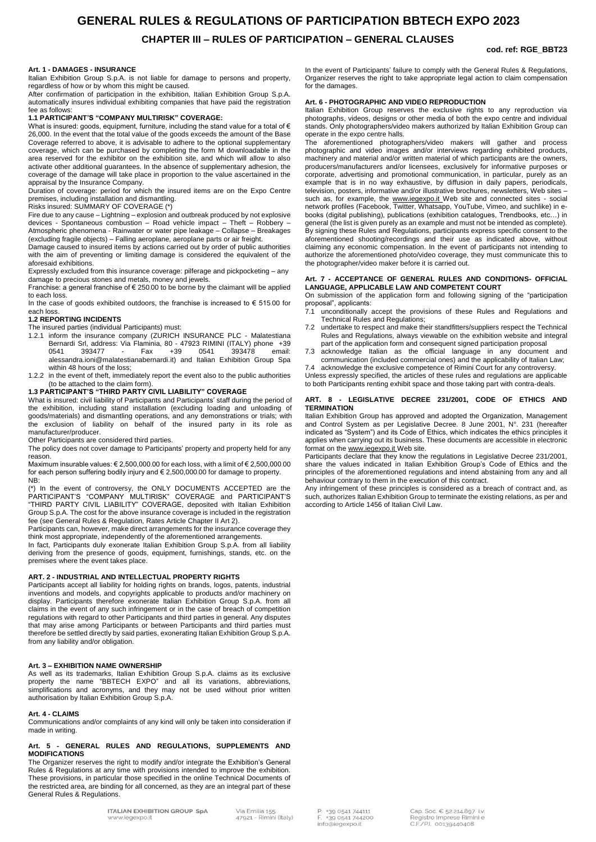# **GENERAL RULES & REGULATIONS OF PARTICIPATION BBTECH EXPO 2023 CHAPTER III – RULES OF PARTICIPATION – GENERAL CLAUSES**

for the damages.

operate in the expo centre halls.

proposal", applicants:

**TERMINATION** 

**cod. ref: RGE\_BBT23**

In the event of Participants' failure to comply with the General Rules & Regulations, Organizer reserves the right to take appropriate legal action to claim compensation

Italian Exhibition Group reserves the exclusive rights to any reproduction via photographs, videos, designs or other media of both the expo centre and individual stands. Only photographers/video makers authorized by Italian Exhibition Group can

The aforementioned photographers/video makers will gather and process photographic and video images and/or interviews regarding exhibited products, machinery and material and/or written material of which participants are the owners, producers/manufacturers and/or licensees, exclusively for informative purposes or corporate, advertising and promotional communication, in particular, purely as an example that is in no way exhaustive, by diffusion in daily papers, periodicals, television, posters, informative and/or illustrative brochures, newsletters, Web sites – such as, for example, the [www.iegexpo.it](http://www.iegexpo.it/) Web site and connected sites - social network profiles (Facebook, Twitter, Whatsapp, YouTube, Vimeo, and suchlike) in ebooks (digital publishing), publications (exhibition catalogues, Trendbooks, etc…) in general (the list is given purely as an example and must not be intended as complete). By signing these Rules and Regulations, participants express specific consent to the aforementioned shooting/recordings and their use as indicated above, without claiming any economic compensation. In the event of participants not intending to authorize the aforementioned photo/video coverage, they must communicate this to

<span id="page-5-6"></span>**Art. 7 - ACCEPTANCE OF GENERAL RULES AND CONDITIONS- OFFICIAL** 

On submission of the application form and following signing of the "participation

7.1 unconditionally accept the provisions of these Rules and Regulations and

7.2 undertake to respect and make their standfitters/suppliers respect the Technical Rules and Regulations, always viewable on the exhibition website and integral part of the application form and consequent signed participation proposal 7.3 acknowledge Italian as the official language in any document and communication (included commercial ones) and the applicability of Italian Law; acknowledge the exclusive competence of Rimini Court for any controversy. Unless expressly specified, the articles of these rules and regulations are applicable to both Participants renting exhibit space and those taking part with contra-deals. **ART. 8 - LEGISLATIVE DECREE 231/2001, CODE OF ETHICS AND** 

Italian Exhibition Group has approved and adopted the Organization, Management and Control System as per Legislative Decree. 8 June 2001, N°. 231 (hereafter indicated as "System") and its Code of Ethics, which indicates the ethics principles it applies when carrying out its business. These documents are accessible in electronic

Participants declare that they know the regulations in Legislative Decree 231/2001, share the values indicated in Italian Exhibition Group's Code of Ethics and the principles of the aforementioned regulations and intend abstaining from any and all

Any infringement of these principles is considered as a breach of contract and, as such, authorizes Italian Exhibition Group to terminate the existing relations, as per and

<span id="page-5-5"></span>**Art. 6 - PHOTOGRAPHIC AND VIDEO REPRODUCTION**

the photographer/video maker before it is carried out.

Technical Rules and Regulations;

format on th[e www.iegexpo.it](http://www.iegexpo.it/) Web site.

according to Article 1456 of Italian Civil Law.

behaviour contrary to them in the execution of this contract.

**LANGUAGE, APPLICABLE LAW AND COMPETENT COURT** 

### <span id="page-5-0"></span>**Art. 1 - DAMAGES - INSURANCE**

Italian Exhibition Group S.p.A. is not liable for damage to persons and property, regardless of how or by whom this might be caused.

After confirmation of participation in the exhibition, Italian Exhibition Group S.p.A. automatically insures individual exhibiting companies that have paid the registration fee as follows:

### **1.1 PARTICIPANT'S "COMPANY MULTIRISK" COVERAGE:**

What is insured: goods, equipment, furniture, including the stand value for a total of  $\bm{\epsilon}$ 26,000. In the event that the total value of the goods exceeds the amount of the Base Coverage referred to above, it is advisable to adhere to the optional supplementary coverage, which can be purchased by completing the form M downloadable in the area reserved for the exhibitor on the exhibition site, and which will allow to also activate other additional guarantees. In the absence of supplementary adhesion, the coverage of the damage will take place in proportion to the value ascertained in the appraisal by the Insurance Company.

Duration of coverage: period for which the insured items are on the Expo Centre premises, including installation and dismantling.

Risks insured: SUMMARY OF COVERAGE (\*)

Fire due to any cause – Lightning – explosion and outbreak produced by not explosive devices - Spontaneous combustion – Road vehicle impact – Theft – Robbery – Atmospheric phenomena - Rainwater or water pipe leakage – Collapse – Breakages (excluding fragile objects) – Falling aeroplane, aeroplane parts or air freight.

Damage caused to insured items by actions carried out by order of public authorities with the aim of preventing or limiting damage is considered the equivalent of the aforesaid exhibitions.

Expressly excluded from this insurance coverage: pilferage and pickpocketing – any damage to precious stones and metals, money and jewels.

Franchise: a general franchise of € 250.00 to be borne by the claimant will be applied to each loss.

In the case of goods exhibited outdoors, the franchise is increased to  $\epsilon$  515.00 for each loss.

### **1.2 REPORTING INCIDENTS**

The insured parties (individual Participants) must:

- 1.2.1 inform the insurance company (ZURICH INSURANCE PLC Malatestiana Bernardi Srl, address: Via Flaminia, 80 - 47923 RIMINI (ITALY) phone +39 0541 393477 - Fax +39 0541 393478 email: [alessandra.ioni@malatestianabernardi.it\)](mailto:alessandra.ioni@malatestianabernardi.it) and Italian Exhibition Group Spa within 48 hours of the loss;
- 1.2.2 in the event of theft, immediately report the event also to the public authorities (to be attached to the claim form).

### **1.3 PARTICIPANT'S "THIRD PARTY CIVIL LIABILITY" COVERAGE**

What is insured: civil liability of Participants and Participants' staff during the period of the exhibition, including stand installation (excluding loading and unloading of goods/materials) and dismantling operations, and any demonstrations or trials; with the exclusion of liability on behalf of the insured party in its role as manufacturer/producer.

Other Participants are considered third parties.

The policy does not cover damage to Participants' property and property held for any reason.

Maximum insurable values: € 2,500,000.00 for each loss, with a limit of € 2,500,000.00 for each person suffering bodily injury and € 2,500,000.00 for damage to property. NB:

(\*) In the event of controversy, the ONLY DOCUMENTS ACCEPTED are the PARTICIPANT'S "COMPANY MULTIRISK" COVERAGE and PARTICIPANT'S "THIRD PARTY CIVIL LIABILITY" COVERAGE, deposited with Italian Exhibition Group S.p.A. The cost for the above insurance coverage is included in the registration fee (see General Rules & Regulation, Rates Article Chapter II Art 2).

Participants can, however, make direct arrangements for the insurance coverage they think most appropriate, independently of the aforementioned arrangements.

In fact, Participants duly exonerate Italian Exhibition Group S.p.A. from all liability deriving from the presence of goods, equipment, furnishings, stands, etc. on the premises where the event takes place.

### <span id="page-5-1"></span>**ART. 2 - INDUSTRIAL AND INTELLECTUAL PROPERTY RIGHTS**

Participants accept all liability for holding rights on brands, logos, patents, industrial inventions and models, and copyrights applicable to products and/or machinery on display. Participants therefore exonerate Italian Exhibition Group S.p.A. from all claims in the event of any such infringement or in the case of breach of competition regulations with regard to other Participants and third parties in general. Any disputes that may arise among Participants or between Participants and third parties must therefore be settled directly by said parties, exonerating Italian Exhibition Group S.p.A. from any liability and/or obligation.

### <span id="page-5-2"></span>**Art. 3 – EXHIBITION NAME OWNERSHIP**

As well as its trademarks, Italian Exhibition Group S.p.A. claims as its exclusive property the name "BBTECH EXPO" and all its variations, abbreviations, simplifications and acronyms, and they may not be used without prior written authorisation by Italian Exhibition Group S.p.A.

### <span id="page-5-3"></span>**Art. 4 - CLAIMS**

Communications and/or complaints of any kind will only be taken into consideration if made in writing.

### <span id="page-5-4"></span>**Art. 5 - GENERAL RULES AND REGULATIONS, SUPPLEMENTS AND MODIFICATIONS**

The Organizer reserves the right to modify and/or integrate the Exhibition's General Rules & Regulations at any time with provisions intended to improve the exhibition. These provisions, in particular those specified in the online Technical Documents of the restricted area, are binding for all concerned, as they are an integral part of these General Rules & Regulations.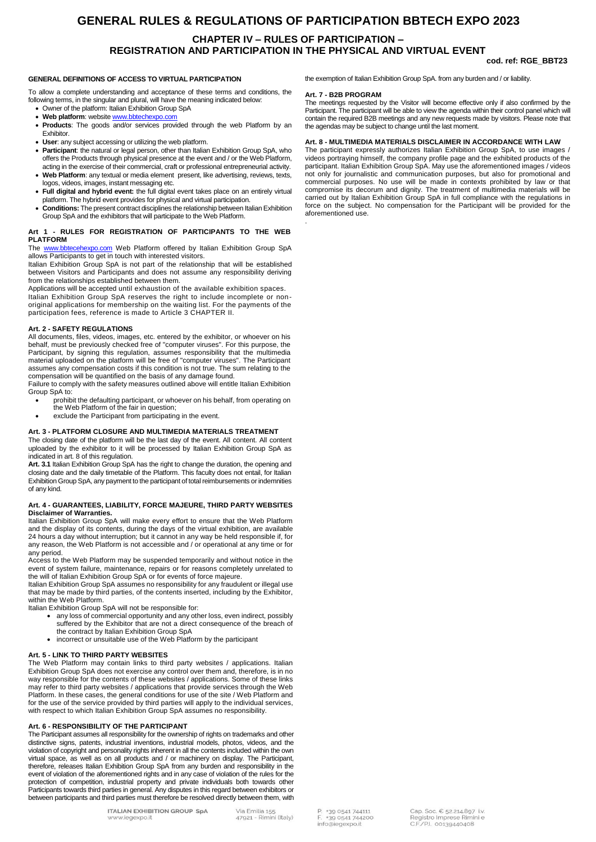# **GENERAL RULES & REGULATIONS OF PARTICIPATION BBTECH EXPO 2023 CHAPTER IV – RULES OF PARTICIPATION – REGISTRATION AND PARTICIPATION IN THE PHYSICAL AND VIRTUAL EVENT**

.

### **cod. ref: RGE\_BBT23**

### **GENERAL DEFINITIONS OF ACCESS TO VIRTUAL PARTICIPATION**

To allow a complete understanding and acceptance of these terms and conditions, the following terms, in the singular and plural, will have the meaning indicated below:

- Owner of the platform: Italian Exhibition Group SpA
- Web platform: website www.bbtechexpo.com
- **Products**: The goods and/or services provided through the web Platform by an Exhibitor.
- **User**: any subject accessing or utilizing the web platform.
- **Participant**: the natural or legal person, other than Italian Exhibition Group SpA, who offers the Products through physical presence at the event and / or the Web Platform, acting in the exercise of their commercial, craft or professional entrepreneurial activity.
- **Web Platform**: any textual or media element present, like advertising, reviews, texts, logos, videos, images, instant messaging etc.
- **Full digital and hybrid event:** the full digital event takes place on an entirely virtual platform. The hybrid event provides for physical and virtual participation.
- **Conditions:** The present contract disciplines the relationship between Italian Exhibition Group SpA and the exhibitors that will participate to the Web Platform.

# **Art 1 - RULES FOR REGISTRATION OF PARTICIPANTS TO THE WEB PLATFORM**

The www.bbtecehexpo.com Web Platform offered by Italian Exhibition Group SpA allows Participants to get in touch with interested visitors.

Italian Exhibition Group SpA is not part of the relationship that will be established between Visitors and Participants and does not assume any responsibility deriving from the relationships established between them.

Applications will be accepted until exhaustion of the available exhibition spaces. Italian Exhibition Group SpA reserves the right to include incomplete or nonoriginal applications for membership on the waiting list. For the payments of the participation fees, reference is made to Article 3 CHAPTER II.

### **Art. 2 - SAFETY REGULATIONS**

All documents, files, videos, images, etc. entered by the exhibitor, or whoever on his behalf, must be previously checked free of "computer viruses". For this purpose, the Participant, by signing this regulation, assumes responsibility that the multimedia<br>material uploaded on the platform will be free of "computer viruses". The Participant<br>assumes any compensation costs if this condition is compensation will be quantified on the basis of any damage found.

Failure to comply with the safety measures outlined above will entitle Italian Exhibition Group SpA to:

- prohibit the defaulting participant, or whoever on his behalf, from operating on the Web Platform of the fair in question;
- exclude the Participant from participating in the event.

### **Art. 3 - PLATFORM CLOSURE AND MULTIMEDIA MATERIALS TREATMENT**

The closing date of the platform will be the last day of the event. All content. All content uploaded by the exhibitor to it will be processed by Italian Exhibition Group SpA as indicated in art. 8 of this regulation.

**Art. 3.1** Italian Exhibition Group SpA has the right to change the duration, the opening and closing date and the daily timetable of the Platform. This faculty does not entail, for Italian Exhibition Group SpA, any payment to the participant of total reimbursements or indemnities of any kind.

### **Art. 4 - GUARANTEES, LIABILITY, FORCE MAJEURE, THIRD PARTY WEBSITES Disclaimer of Warranties.**

Italian Exhibition Group SpA will make every effort to ensure that the Web Platform and the display of its contents, during the days of the virtual exhibition, are available 24 hours a day without interruption; but it cannot in any way be held responsible if, for any reason, the Web Platform is not accessible and / or operational at any time or for any period.

Access to the Web Platform may be suspended temporarily and without notice in the event of system failure, maintenance, repairs or for reasons completely unrelated to the will of Italian Exhibition Group SpA or for events of force majeure.

Italian Exhibition Group SpA assumes no responsibility for any fraudulent or illegal use that may be made by third parties, of the contents inserted, including by the Exhibitor, within the Web Platform.

Italian Exhibition Group SpA will not be responsible for:

- any loss of commercial opportunity and any other loss, even indirect, possibly suffered by the Exhibitor that are not a direct consequence of the breach of the contract by Italian Exhibition Group SpA
- incorrect or unsuitable use of the Web Platform by the participant

### **Art. 5 - LINK TO THIRD PARTY WEBSITES**

The Web Platform may contain links to third party websites / applications. Italian Exhibition Group SpA does not exercise any control over them and, therefore, is in no way responsible for the contents of these websites / applications. Some of these links may refer to third party websites / applications that provide services through the Web Platform. In these cases, the general conditions for use of the site / Web Platform and for the use of the service provided by third parties will apply to the individual services, with respect to which Italian Exhibition Group SpA assumes no responsibility.

### **Art. 6 - RESPONSIBILITY OF THE PARTICIPANT**

The Participant assumes all responsibility for the ownership of rights on trademarks and other distinctive signs, patents, industrial inventions, industrial models, photos, videos, and the violation of copyright and personality rights inherent in all the contents included within the own virtual space, as well as on all products and / or machinery on display. The Participant, therefore, releases Italian Exhibition Group SpA from any burden and responsibility in the event of violation of the aforementioned rights and in any case of violation of the rules for the protection of competition, industrial property and private individuals both towards other Participants towards third parties in general. Any disputes in this regard between exhibitors or between participants and third parties must therefore be resolved directly between them, with

Participant. The participant will be able to view the agenda within their control panel which will contain the required B2B meetings and any new requests made by visitors. Please note that the agendas may be subject to change until the last moment.

**Art. 7 - B2B PROGRAM**

### **Art. 8 - MULTIMEDIA MATERIALS DISCLAIMER IN ACCORDANCE WITH LAW**

The meetings requested by the Visitor will become effective only if also confirmed by the

the exemption of Italian Exhibition Group SpA. from any burden and / or liability.

The participant expressly authorizes Italian Exhibition Group SpA, to use images /<br>videos portraying himself, the company profile page and the exhibited products of the<br>participant. Italian Exhibition Group SpA. May use th not only for journalistic and communication purposes, but also for promotional and commercial purposes. No use will be made in contexts prohibited by law or that compromise its decorum and dignity. The treatment of multimedia materials will be carried out by Italian Exhibition Group SpA in full compliance with the regulations in force on the subject. No compensation for the Participant will be provided for the aforementioned use.